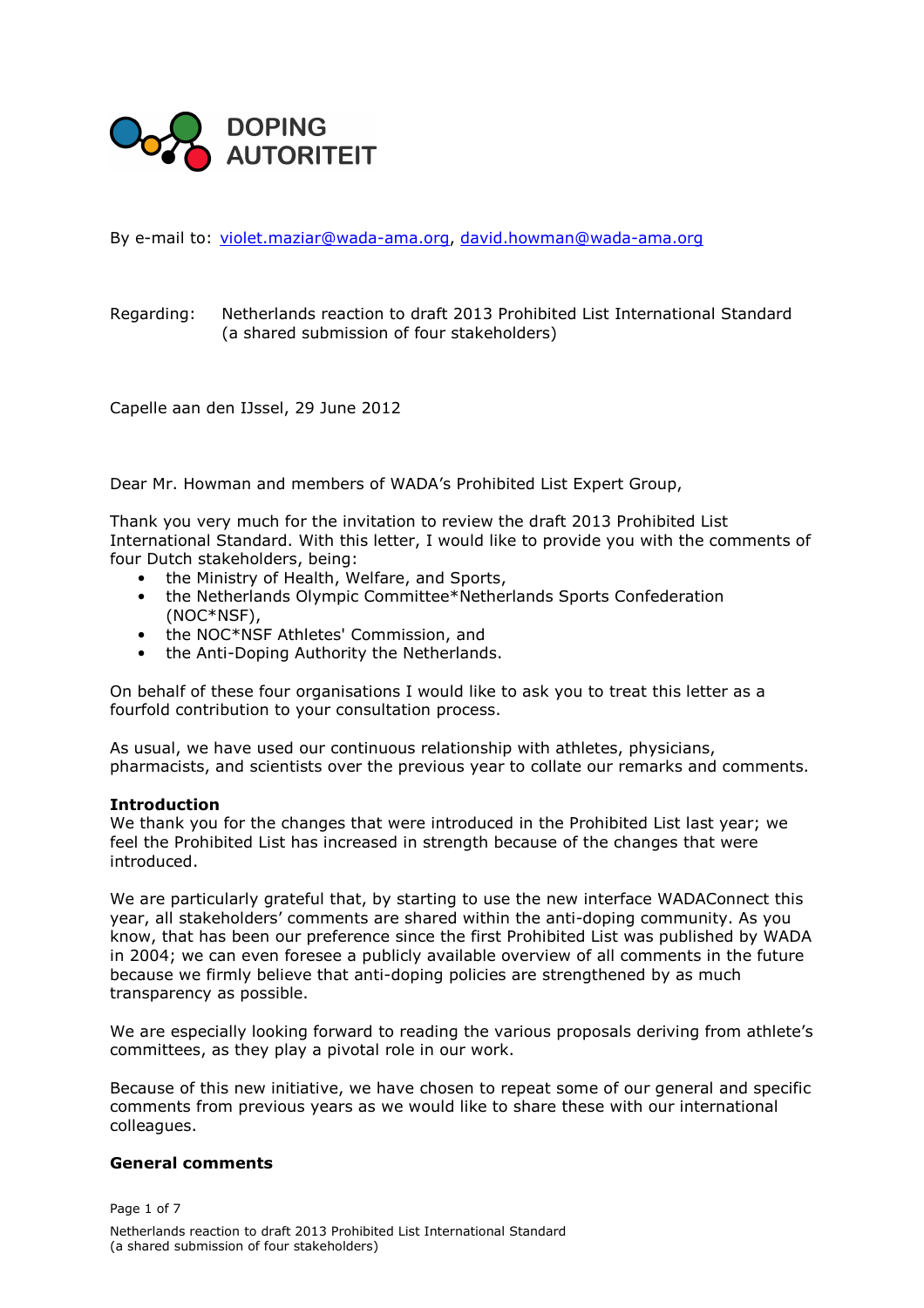

By e-mail to: violet.maziar@wada-ama.org, david.howman@wada-ama.org

## Regarding: Netherlands reaction to draft 2013 Prohibited List International Standard (a shared submission of four stakeholders)

Capelle aan den IJssel, 29 June 2012

Dear Mr. Howman and members of WADA's Prohibited List Expert Group,

Thank you very much for the invitation to review the draft 2013 Prohibited List International Standard. With this letter, I would like to provide you with the comments of four Dutch stakeholders, being:

- the Ministry of Health, Welfare, and Sports,
- the Netherlands Olympic Committee\*Netherlands Sports Confederation (NOC\*NSF),
- the NOC\*NSF Athletes' Commission, and
- the Anti-Doping Authority the Netherlands.

On behalf of these four organisations I would like to ask you to treat this letter as a fourfold contribution to your consultation process.

As usual, we have used our continuous relationship with athletes, physicians, pharmacists, and scientists over the previous year to collate our remarks and comments.

### Introduction

We thank you for the changes that were introduced in the Prohibited List last year; we feel the Prohibited List has increased in strength because of the changes that were introduced.

We are particularly grateful that, by starting to use the new interface WADAConnect this year, all stakeholders' comments are shared within the anti-doping community. As you know, that has been our preference since the first Prohibited List was published by WADA in 2004; we can even foresee a publicly available overview of all comments in the future because we firmly believe that anti-doping policies are strengthened by as much transparency as possible.

We are especially looking forward to reading the various proposals deriving from athlete's committees, as they play a pivotal role in our work.

Because of this new initiative, we have chosen to repeat some of our general and specific comments from previous years as we would like to share these with our international colleagues.

### General comments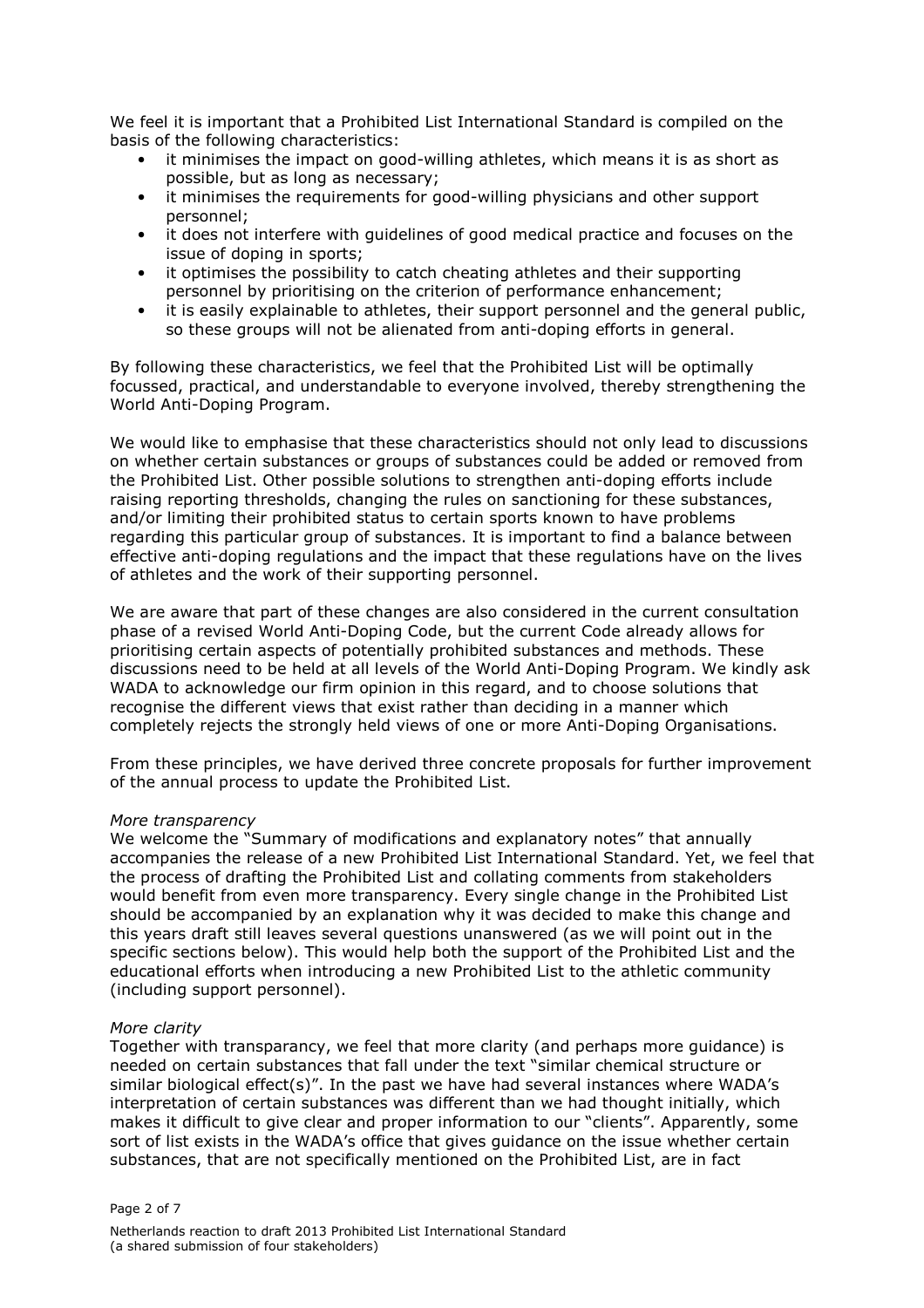We feel it is important that a Prohibited List International Standard is compiled on the basis of the following characteristics:

- it minimises the impact on good-willing athletes, which means it is as short as possible, but as long as necessary;
- it minimises the requirements for good-willing physicians and other support personnel;
- it does not interfere with guidelines of good medical practice and focuses on the issue of doping in sports;
- it optimises the possibility to catch cheating athletes and their supporting personnel by prioritising on the criterion of performance enhancement;
- it is easily explainable to athletes, their support personnel and the general public, so these groups will not be alienated from anti-doping efforts in general.

By following these characteristics, we feel that the Prohibited List will be optimally focussed, practical, and understandable to everyone involved, thereby strengthening the World Anti-Doping Program.

We would like to emphasise that these characteristics should not only lead to discussions on whether certain substances or groups of substances could be added or removed from the Prohibited List. Other possible solutions to strengthen anti-doping efforts include raising reporting thresholds, changing the rules on sanctioning for these substances, and/or limiting their prohibited status to certain sports known to have problems regarding this particular group of substances. It is important to find a balance between effective anti-doping regulations and the impact that these regulations have on the lives of athletes and the work of their supporting personnel.

We are aware that part of these changes are also considered in the current consultation phase of a revised World Anti-Doping Code, but the current Code already allows for prioritising certain aspects of potentially prohibited substances and methods. These discussions need to be held at all levels of the World Anti-Doping Program. We kindly ask WADA to acknowledge our firm opinion in this regard, and to choose solutions that recognise the different views that exist rather than deciding in a manner which completely rejects the strongly held views of one or more Anti-Doping Organisations.

From these principles, we have derived three concrete proposals for further improvement of the annual process to update the Prohibited List.

### More transparency

We welcome the "Summary of modifications and explanatory notes" that annually accompanies the release of a new Prohibited List International Standard. Yet, we feel that the process of drafting the Prohibited List and collating comments from stakeholders would benefit from even more transparency. Every single change in the Prohibited List should be accompanied by an explanation why it was decided to make this change and this years draft still leaves several questions unanswered (as we will point out in the specific sections below). This would help both the support of the Prohibited List and the educational efforts when introducing a new Prohibited List to the athletic community (including support personnel).

### More clarity

Together with transparancy, we feel that more clarity (and perhaps more guidance) is needed on certain substances that fall under the text "similar chemical structure or similar biological effect(s)". In the past we have had several instances where WADA's interpretation of certain substances was different than we had thought initially, which makes it difficult to give clear and proper information to our "clients". Apparently, some sort of list exists in the WADA's office that gives guidance on the issue whether certain substances, that are not specifically mentioned on the Prohibited List, are in fact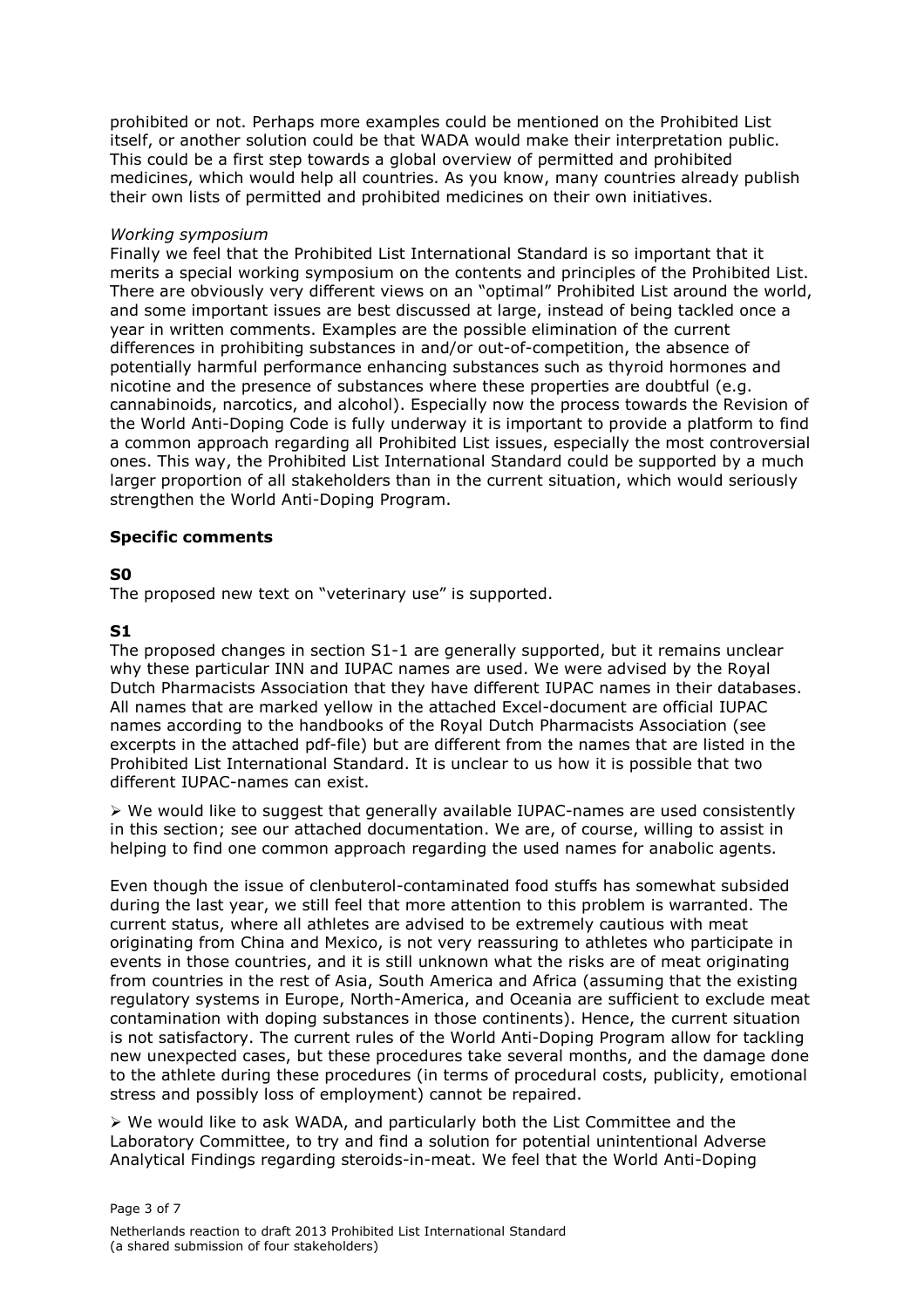prohibited or not. Perhaps more examples could be mentioned on the Prohibited List itself, or another solution could be that WADA would make their interpretation public. This could be a first step towards a global overview of permitted and prohibited medicines, which would help all countries. As you know, many countries already publish their own lists of permitted and prohibited medicines on their own initiatives.

## Working symposium

Finally we feel that the Prohibited List International Standard is so important that it merits a special working symposium on the contents and principles of the Prohibited List. There are obviously very different views on an "optimal" Prohibited List around the world, and some important issues are best discussed at large, instead of being tackled once a year in written comments. Examples are the possible elimination of the current differences in prohibiting substances in and/or out-of-competition, the absence of potentially harmful performance enhancing substances such as thyroid hormones and nicotine and the presence of substances where these properties are doubtful (e.g. cannabinoids, narcotics, and alcohol). Especially now the process towards the Revision of the World Anti-Doping Code is fully underway it is important to provide a platform to find a common approach regarding all Prohibited List issues, especially the most controversial ones. This way, the Prohibited List International Standard could be supported by a much larger proportion of all stakeholders than in the current situation, which would seriously strengthen the World Anti-Doping Program.

## Specific comments

## S0

The proposed new text on "veterinary use" is supported.

## S1

The proposed changes in section S1-1 are generally supported, but it remains unclear why these particular INN and IUPAC names are used. We were advised by the Royal Dutch Pharmacists Association that they have different IUPAC names in their databases. All names that are marked yellow in the attached Excel-document are official IUPAC names according to the handbooks of the Royal Dutch Pharmacists Association (see excerpts in the attached pdf-file) but are different from the names that are listed in the Prohibited List International Standard. It is unclear to us how it is possible that two different IUPAC-names can exist.

 $\triangleright$  We would like to suggest that generally available IUPAC-names are used consistently in this section; see our attached documentation. We are, of course, willing to assist in helping to find one common approach regarding the used names for anabolic agents.

Even though the issue of clenbuterol-contaminated food stuffs has somewhat subsided during the last year, we still feel that more attention to this problem is warranted. The current status, where all athletes are advised to be extremely cautious with meat originating from China and Mexico, is not very reassuring to athletes who participate in events in those countries, and it is still unknown what the risks are of meat originating from countries in the rest of Asia, South America and Africa (assuming that the existing regulatory systems in Europe, North-America, and Oceania are sufficient to exclude meat contamination with doping substances in those continents). Hence, the current situation is not satisfactory. The current rules of the World Anti-Doping Program allow for tackling new unexpected cases, but these procedures take several months, and the damage done to the athlete during these procedures (in terms of procedural costs, publicity, emotional stress and possibly loss of employment) cannot be repaired.

 $\triangleright$  We would like to ask WADA, and particularly both the List Committee and the Laboratory Committee, to try and find a solution for potential unintentional Adverse Analytical Findings regarding steroids-in-meat. We feel that the World Anti-Doping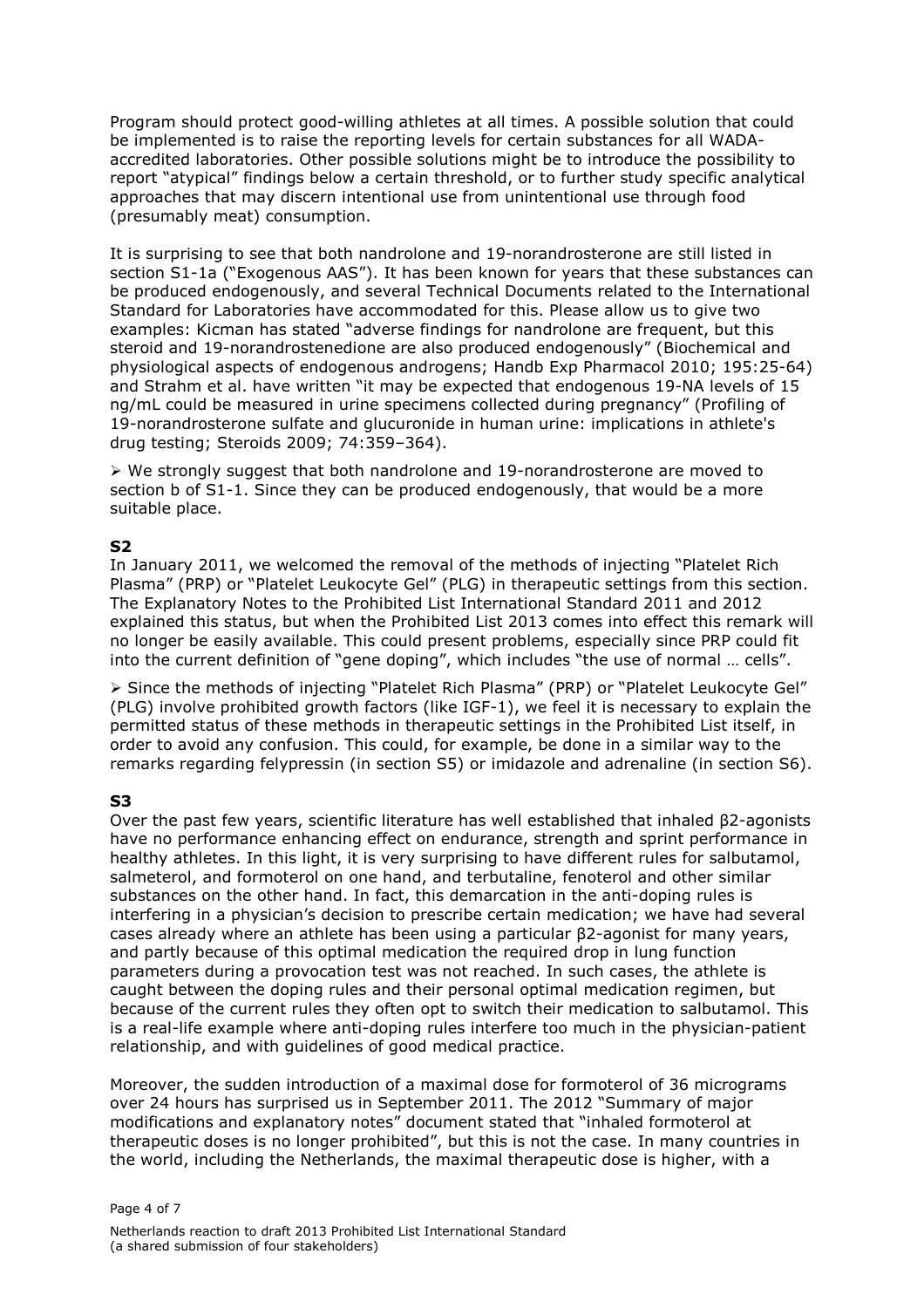Program should protect good-willing athletes at all times. A possible solution that could be implemented is to raise the reporting levels for certain substances for all WADAaccredited laboratories. Other possible solutions might be to introduce the possibility to report "atypical" findings below a certain threshold, or to further study specific analytical approaches that may discern intentional use from unintentional use through food (presumably meat) consumption.

It is surprising to see that both nandrolone and 19-norandrosterone are still listed in section S1-1a ("Exogenous AAS"). It has been known for years that these substances can be produced endogenously, and several Technical Documents related to the International Standard for Laboratories have accommodated for this. Please allow us to give two examples: Kicman has stated "adverse findings for nandrolone are frequent, but this steroid and 19-norandrostenedione are also produced endogenously" (Biochemical and physiological aspects of endogenous androgens; Handb Exp Pharmacol 2010; 195:25-64) and Strahm et al. have written "it may be expected that endogenous 19-NA levels of 15 ng/mL could be measured in urine specimens collected during pregnancy" (Profiling of 19-norandrosterone sulfate and glucuronide in human urine: implications in athlete's drug testing; Steroids 2009; 74:359–364).

 $\triangleright$  We strongly suggest that both nandrolone and 19-norandrosterone are moved to section b of S1-1. Since they can be produced endogenously, that would be a more suitable place.

# S2

In January 2011, we welcomed the removal of the methods of injecting "Platelet Rich Plasma" (PRP) or "Platelet Leukocyte Gel" (PLG) in therapeutic settings from this section. The Explanatory Notes to the Prohibited List International Standard 2011 and 2012 explained this status, but when the Prohibited List 2013 comes into effect this remark will no longer be easily available. This could present problems, especially since PRP could fit into the current definition of "gene doping", which includes "the use of normal … cells".

 Since the methods of injecting "Platelet Rich Plasma" (PRP) or "Platelet Leukocyte Gel" (PLG) involve prohibited growth factors (like IGF-1), we feel it is necessary to explain the permitted status of these methods in therapeutic settings in the Prohibited List itself, in order to avoid any confusion. This could, for example, be done in a similar way to the remarks regarding felypressin (in section S5) or imidazole and adrenaline (in section S6).

## S3

Over the past few years, scientific literature has well established that inhaled β2-agonists have no performance enhancing effect on endurance, strength and sprint performance in healthy athletes. In this light, it is very surprising to have different rules for salbutamol, salmeterol, and formoterol on one hand, and terbutaline, fenoterol and other similar substances on the other hand. In fact, this demarcation in the anti-doping rules is interfering in a physician's decision to prescribe certain medication; we have had several cases already where an athlete has been using a particular β2-agonist for many years, and partly because of this optimal medication the required drop in lung function parameters during a provocation test was not reached. In such cases, the athlete is caught between the doping rules and their personal optimal medication regimen, but because of the current rules they often opt to switch their medication to salbutamol. This is a real-life example where anti-doping rules interfere too much in the physician-patient relationship, and with guidelines of good medical practice.

Moreover, the sudden introduction of a maximal dose for formoterol of 36 micrograms over 24 hours has surprised us in September 2011. The 2012 "Summary of major modifications and explanatory notes" document stated that "inhaled formoterol at therapeutic doses is no longer prohibited", but this is not the case. In many countries in the world, including the Netherlands, the maximal therapeutic dose is higher, with a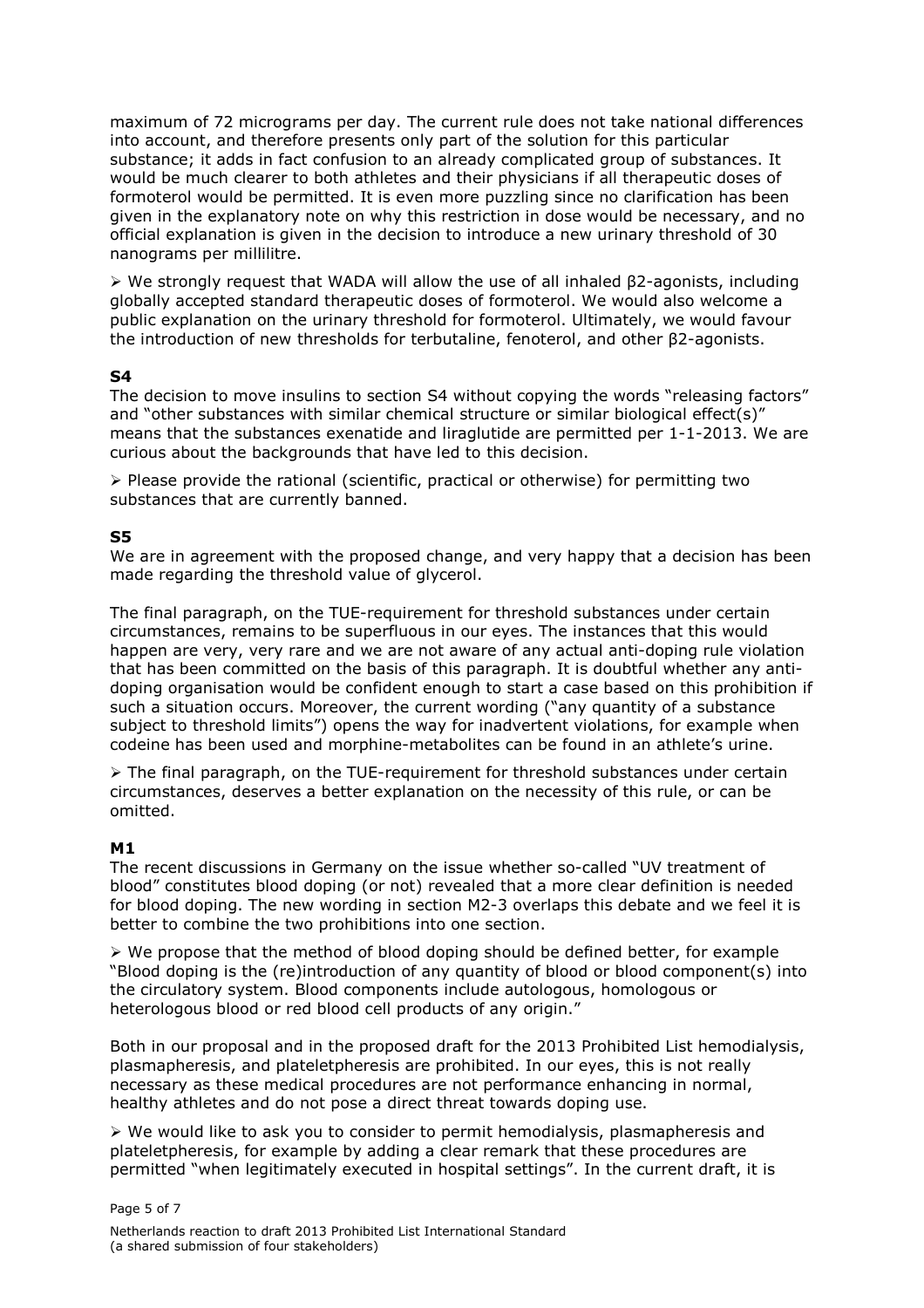maximum of 72 micrograms per day. The current rule does not take national differences into account, and therefore presents only part of the solution for this particular substance; it adds in fact confusion to an already complicated group of substances. It would be much clearer to both athletes and their physicians if all therapeutic doses of formoterol would be permitted. It is even more puzzling since no clarification has been given in the explanatory note on why this restriction in dose would be necessary, and no official explanation is given in the decision to introduce a new urinary threshold of 30 nanograms per millilitre.

 We strongly request that WADA will allow the use of all inhaled β2-agonists, including globally accepted standard therapeutic doses of formoterol. We would also welcome a public explanation on the urinary threshold for formoterol. Ultimately, we would favour the introduction of new thresholds for terbutaline, fenoterol, and other β2-agonists.

### S4

The decision to move insulins to section S4 without copying the words "releasing factors" and "other substances with similar chemical structure or similar biological effect(s)" means that the substances exenatide and liraglutide are permitted per 1-1-2013. We are curious about the backgrounds that have led to this decision.

 $\triangleright$  Please provide the rational (scientific, practical or otherwise) for permitting two substances that are currently banned.

### S5

We are in agreement with the proposed change, and very happy that a decision has been made regarding the threshold value of glycerol.

The final paragraph, on the TUE-requirement for threshold substances under certain circumstances, remains to be superfluous in our eyes. The instances that this would happen are very, very rare and we are not aware of any actual anti-doping rule violation that has been committed on the basis of this paragraph. It is doubtful whether any antidoping organisation would be confident enough to start a case based on this prohibition if such a situation occurs. Moreover, the current wording ("any quantity of a substance subject to threshold limits") opens the way for inadvertent violations, for example when codeine has been used and morphine-metabolites can be found in an athlete's urine.

 The final paragraph, on the TUE-requirement for threshold substances under certain circumstances, deserves a better explanation on the necessity of this rule, or can be omitted.

### M1

The recent discussions in Germany on the issue whether so-called "UV treatment of blood" constitutes blood doping (or not) revealed that a more clear definition is needed for blood doping. The new wording in section M2-3 overlaps this debate and we feel it is better to combine the two prohibitions into one section.

 $\triangleright$  We propose that the method of blood doping should be defined better, for example "Blood doping is the (re)introduction of any quantity of blood or blood component(s) into the circulatory system. Blood components include autologous, homologous or heterologous blood or red blood cell products of any origin."

Both in our proposal and in the proposed draft for the 2013 Prohibited List hemodialysis, plasmapheresis, and plateletpheresis are prohibited. In our eyes, this is not really necessary as these medical procedures are not performance enhancing in normal, healthy athletes and do not pose a direct threat towards doping use.

 $\triangleright$  We would like to ask you to consider to permit hemodialysis, plasmapheresis and plateletpheresis, for example by adding a clear remark that these procedures are permitted "when legitimately executed in hospital settings". In the current draft, it is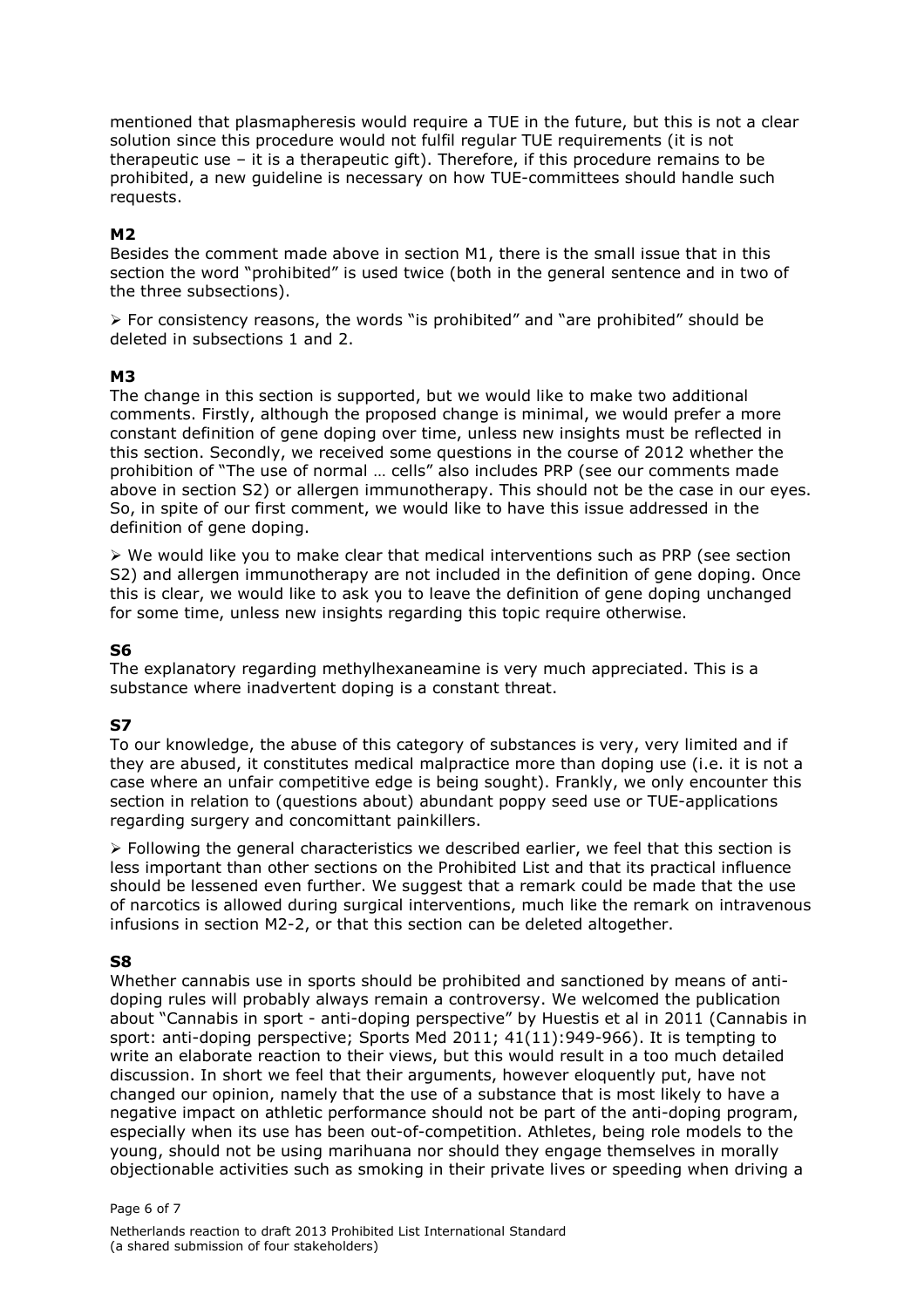mentioned that plasmapheresis would require a TUE in the future, but this is not a clear solution since this procedure would not fulfil regular TUE requirements (it is not therapeutic use – it is a therapeutic gift). Therefore, if this procedure remains to be prohibited, a new guideline is necessary on how TUE-committees should handle such requests.

## M2

Besides the comment made above in section M1, there is the small issue that in this section the word "prohibited" is used twice (both in the general sentence and in two of the three subsections).

 $\triangleright$  For consistency reasons, the words "is prohibited" and "are prohibited" should be deleted in subsections 1 and 2.

## M3

The change in this section is supported, but we would like to make two additional comments. Firstly, although the proposed change is minimal, we would prefer a more constant definition of gene doping over time, unless new insights must be reflected in this section. Secondly, we received some questions in the course of 2012 whether the prohibition of "The use of normal … cells" also includes PRP (see our comments made above in section S2) or allergen immunotherapy. This should not be the case in our eyes. So, in spite of our first comment, we would like to have this issue addressed in the definition of gene doping.

 $\triangleright$  We would like you to make clear that medical interventions such as PRP (see section S2) and allergen immunotherapy are not included in the definition of gene doping. Once this is clear, we would like to ask you to leave the definition of gene doping unchanged for some time, unless new insights regarding this topic require otherwise.

## S6

The explanatory regarding methylhexaneamine is very much appreciated. This is a substance where inadvertent doping is a constant threat.

## S7

To our knowledge, the abuse of this category of substances is very, very limited and if they are abused, it constitutes medical malpractice more than doping use (i.e. it is not a case where an unfair competitive edge is being sought). Frankly, we only encounter this section in relation to (questions about) abundant poppy seed use or TUE-applications regarding surgery and concomittant painkillers.

 $\triangleright$  Following the general characteristics we described earlier, we feel that this section is less important than other sections on the Prohibited List and that its practical influence should be lessened even further. We suggest that a remark could be made that the use of narcotics is allowed during surgical interventions, much like the remark on intravenous infusions in section M2-2, or that this section can be deleted altogether.

### S8

Whether cannabis use in sports should be prohibited and sanctioned by means of antidoping rules will probably always remain a controversy. We welcomed the publication about "Cannabis in sport - anti-doping perspective" by Huestis et al in 2011 (Cannabis in sport: anti-doping perspective; Sports Med 2011; 41(11):949-966). It is tempting to write an elaborate reaction to their views, but this would result in a too much detailed discussion. In short we feel that their arguments, however eloquently put, have not changed our opinion, namely that the use of a substance that is most likely to have a negative impact on athletic performance should not be part of the anti-doping program, especially when its use has been out-of-competition. Athletes, being role models to the young, should not be using marihuana nor should they engage themselves in morally objectionable activities such as smoking in their private lives or speeding when driving a

Page 6 of 7